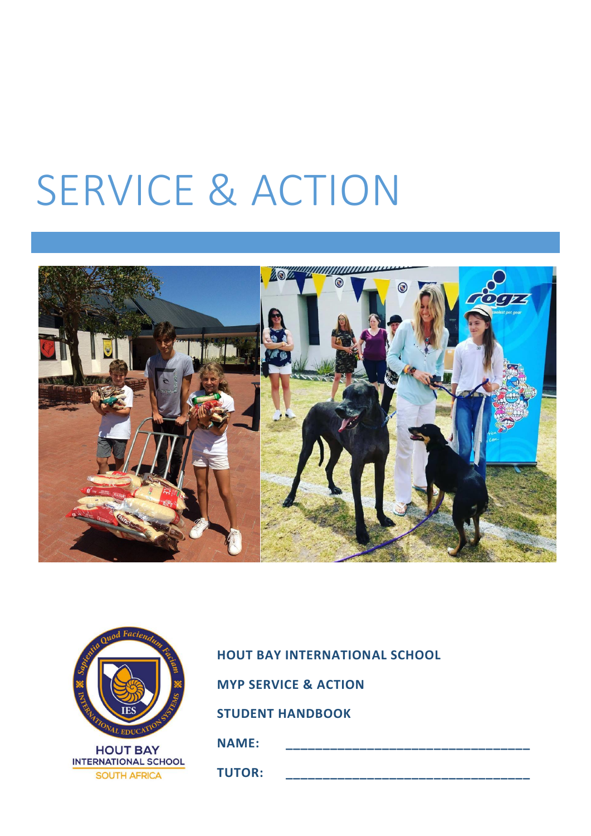# SERVICE & ACTION



| Nija Quod Faciendum         |
|-----------------------------|
|                             |
| THE THE TEST ON STRAIGHT    |
|                             |
| <b>HOUT BAY</b>             |
| <b>INTERNATIONAL SCHOOL</b> |
| <b>SOUTH AFRICA</b>         |

# **HOUT BAY INTERNATIONAL SCHOOL MYP SERVICE & ACTION STUDENT HANDBOOK**

**NAME: \_\_\_\_\_\_\_\_\_\_\_\_\_\_\_\_\_\_\_\_\_\_\_\_\_\_\_\_\_\_\_\_\_**

**TUTOR: \_\_\_\_\_\_\_\_\_\_\_\_\_\_\_\_\_\_\_\_\_\_\_\_\_\_\_\_\_\_\_\_\_**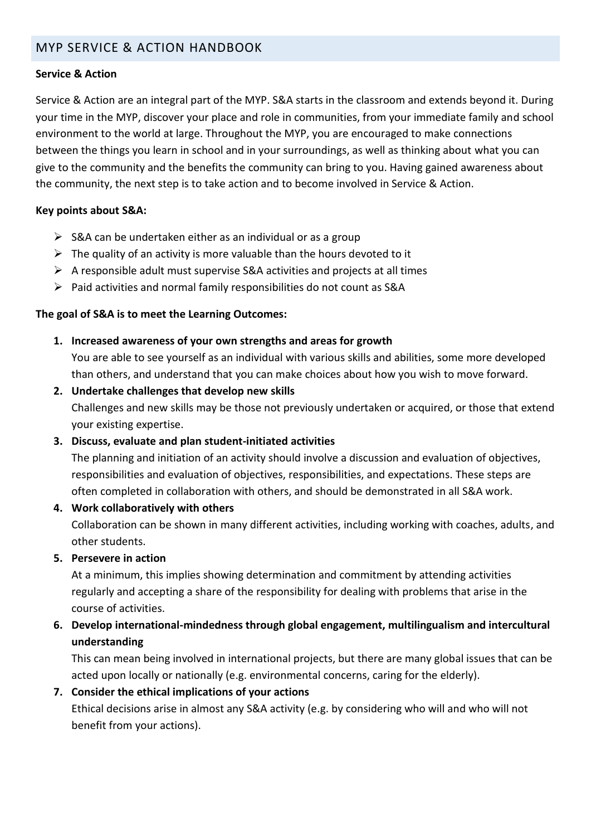# MYP SERVICE & ACTION HANDBOOK

#### **Service & Action**

Service & Action are an integral part of the MYP. S&A starts in the classroom and extends beyond it. During your time in the MYP, discover your place and role in communities, from your immediate family and school environment to the world at large. Throughout the MYP, you are encouraged to make connections between the things you learn in school and in your surroundings, as well as thinking about what you can give to the community and the benefits the community can bring to you. Having gained awareness about the community, the next step is to take action and to become involved in Service & Action.

#### **Key points about S&A:**

- $\triangleright$  S&A can be undertaken either as an individual or as a group
- $\triangleright$  The quality of an activity is more valuable than the hours devoted to it
- $\triangleright$  A responsible adult must supervise S&A activities and projects at all times
- $\triangleright$  Paid activities and normal family responsibilities do not count as S&A

#### **The goal of S&A is to meet the Learning Outcomes:**

**1. Increased awareness of your own strengths and areas for growth**

You are able to see yourself as an individual with various skills and abilities, some more developed than others, and understand that you can make choices about how you wish to move forward.

**2. Undertake challenges that develop new skills**

Challenges and new skills may be those not previously undertaken or acquired, or those that extend your existing expertise.

#### **3. Discuss, evaluate and plan student-initiated activities**

The planning and initiation of an activity should involve a discussion and evaluation of objectives, responsibilities and evaluation of objectives, responsibilities, and expectations. These steps are often completed in collaboration with others, and should be demonstrated in all S&A work.

#### **4. Work collaboratively with others**

Collaboration can be shown in many different activities, including working with coaches, adults, and other students.

#### **5. Persevere in action**

At a minimum, this implies showing determination and commitment by attending activities regularly and accepting a share of the responsibility for dealing with problems that arise in the course of activities.

### **6. Develop international-mindedness through global engagement, multilingualism and intercultural understanding**

This can mean being involved in international projects, but there are many global issues that can be acted upon locally or nationally (e.g. environmental concerns, caring for the elderly).

#### **7. Consider the ethical implications of your actions**

Ethical decisions arise in almost any S&A activity (e.g. by considering who will and who will not benefit from your actions).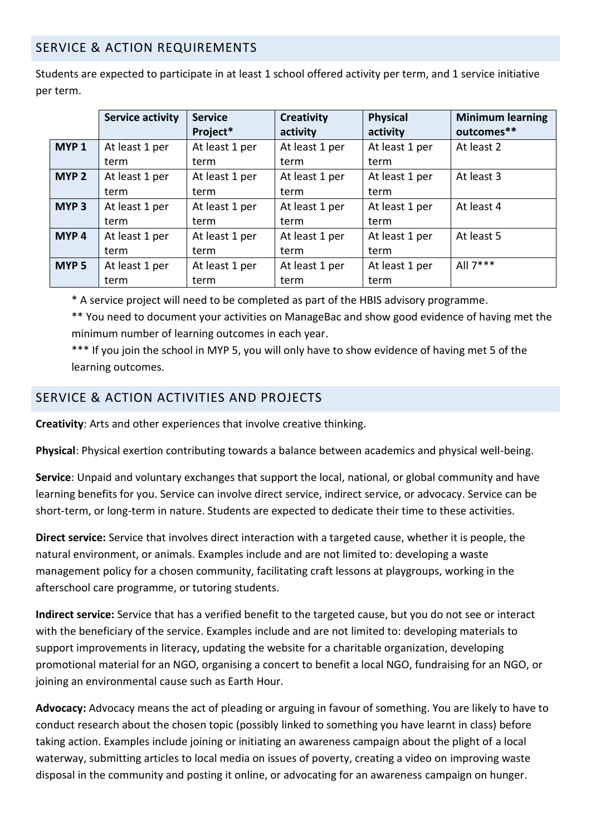# SERVICE & ACTION REQUIREMENTS

Students are expected to participate in at least 1 school offered activity per term, and 1 service initiative per term.

|                  | <b>Service activity</b> | <b>Service</b> | <b>Creativity</b> | <b>Physical</b> | <b>Minimum learning</b> |
|------------------|-------------------------|----------------|-------------------|-----------------|-------------------------|
|                  |                         | Project*       | activity          | activity        | outcomes**              |
| MYP <sub>1</sub> | At least 1 per          | At least 1 per | At least 1 per    | At least 1 per  | At least 2              |
|                  | term                    | term           | term              | term            |                         |
| MYP <sub>2</sub> | At least 1 per          | At least 1 per | At least 1 per    | At least 1 per  | At least 3              |
|                  | term                    | term           | term              | term            |                         |
| MYP <sub>3</sub> | At least 1 per          | At least 1 per | At least 1 per    | At least 1 per  | At least 4              |
|                  | term                    | term           | term              | term            |                         |
| MYP <sub>4</sub> | At least 1 per          | At least 1 per | At least 1 per    | At least 1 per  | At least 5              |
|                  | term                    | term           | term              | term            |                         |
| MYP <sub>5</sub> | At least 1 per          | At least 1 per | At least 1 per    | At least 1 per  | All $7***$              |
|                  | term                    | term           | term              | term            |                         |

\* A service project will need to be completed as part of the HBIS advisory programme.

\*\* You need to document your activities on ManageBac and show good evidence of having met the minimum number of learning outcomes in each year.

\*\*\* If you join the school in MYP 5, you will only have to show evidence of having met 5 of the learning outcomes.

# SERVICE & ACTION ACTIVITIES AND PROJECTS

**Creativity**: Arts and other experiences that involve creative thinking.

**Physical**: Physical exertion contributing towards a balance between academics and physical well-being.

**Service**: Unpaid and voluntary exchanges that support the local, national, or global community and have learning benefits for you. Service can involve direct service, indirect service, or advocacy. Service can be short-term, or long-term in nature. Students are expected to dedicate their time to these activities.

**Direct service:** Service that involves direct interaction with a targeted cause, whether it is people, the natural environment, or animals. Examples include and are not limited to: developing a waste management policy for a chosen community, facilitating craft lessons at playgroups, working in the afterschool care programme, or tutoring students.

**Indirect service:** Service that has a verified benefit to the targeted cause, but you do not see or interact with the beneficiary of the service. Examples include and are not limited to: developing materials to support improvements in literacy, updating the website for a charitable organization, developing promotional material for an NGO, organising a concert to benefit a local NGO, fundraising for an NGO, or joining an environmental cause such as Earth Hour.

**Advocacy:** Advocacy means the act of pleading or arguing in favour of something. You are likely to have to conduct research about the chosen topic (possibly linked to something you have learnt in class) before taking action. Examples include joining or initiating an awareness campaign about the plight of a local waterway, submitting articles to local media on issues of poverty, creating a video on improving waste disposal in the community and posting it online, or advocating for an awareness campaign on hunger.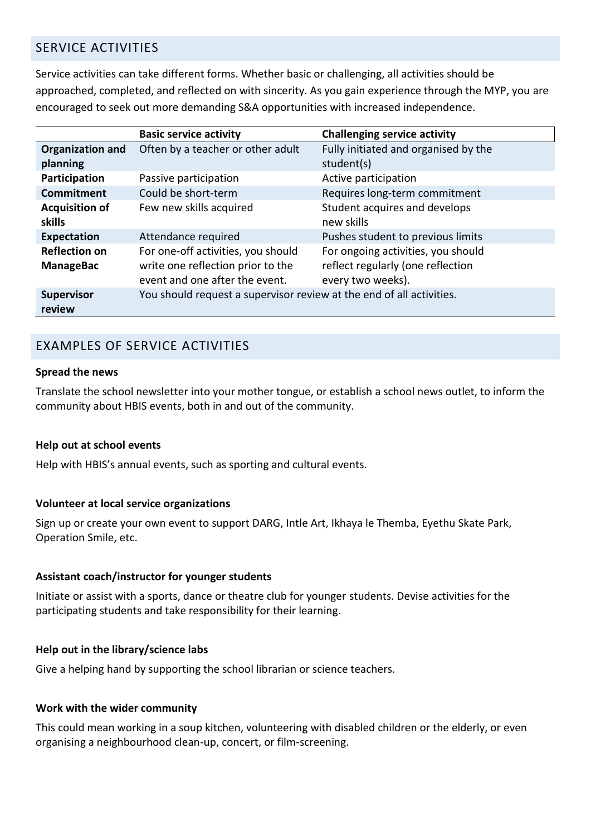# SERVICE ACTIVITIES

Service activities can take different forms. Whether basic or challenging, all activities should be approached, completed, and reflected on with sincerity. As you gain experience through the MYP, you are encouraged to seek out more demanding S&A opportunities with increased independence.

|                         | <b>Basic service activity</b>                                        | <b>Challenging service activity</b>  |  |
|-------------------------|----------------------------------------------------------------------|--------------------------------------|--|
| <b>Organization and</b> | Often by a teacher or other adult                                    | Fully initiated and organised by the |  |
| planning                |                                                                      | student(s)                           |  |
| Participation           | Passive participation                                                | Active participation                 |  |
| <b>Commitment</b>       | Could be short-term                                                  | Requires long-term commitment        |  |
| <b>Acquisition of</b>   | Few new skills acquired                                              | Student acquires and develops        |  |
| skills                  |                                                                      | new skills                           |  |
| <b>Expectation</b>      | Attendance required                                                  | Pushes student to previous limits    |  |
| <b>Reflection on</b>    | For one-off activities, you should                                   | For ongoing activities, you should   |  |
| <b>ManageBac</b>        | write one reflection prior to the                                    | reflect regularly (one reflection    |  |
|                         | event and one after the event.                                       | every two weeks).                    |  |
| <b>Supervisor</b>       | You should request a supervisor review at the end of all activities. |                                      |  |
| review                  |                                                                      |                                      |  |

# EXAMPLES OF SERVICE ACTIVITIES

#### **Spread the news**

Translate the school newsletter into your mother tongue, or establish a school news outlet, to inform the community about HBIS events, both in and out of the community.

#### **Help out at school events**

Help with HBIS's annual events, such as sporting and cultural events.

#### **Volunteer at local service organizations**

Sign up or create your own event to support DARG, Intle Art, Ikhaya le Themba, Eyethu Skate Park, Operation Smile, etc.

#### **Assistant coach/instructor for younger students**

Initiate or assist with a sports, dance or theatre club for younger students. Devise activities for the participating students and take responsibility for their learning.

#### **Help out in the library/science labs**

Give a helping hand by supporting the school librarian or science teachers.

#### **Work with the wider community**

This could mean working in a soup kitchen, volunteering with disabled children or the elderly, or even organising a neighbourhood clean-up, concert, or film-screening.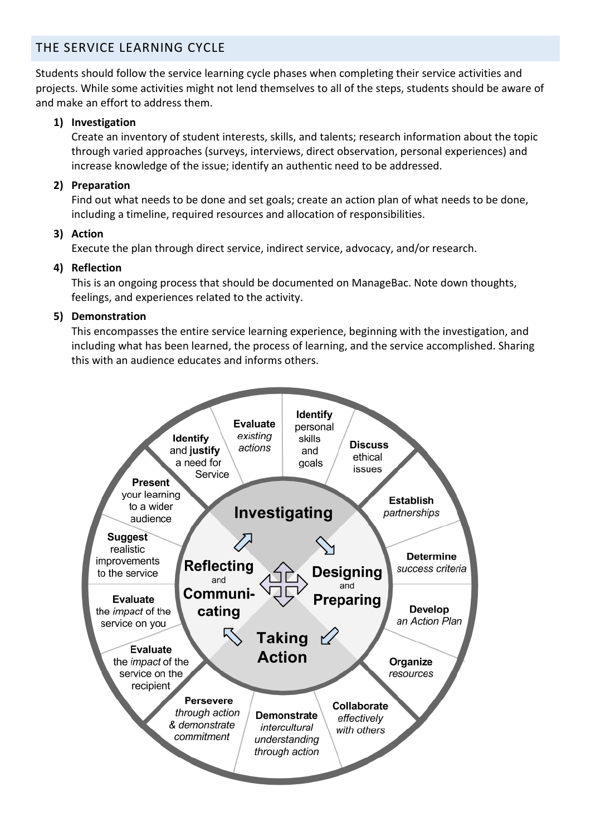# THE SERVICE LEARNING CYCLE

Students should follow the service learning cycle phases when completing their service activities and projects. While some activities might not lend themselves to all of the steps, students should be aware of and make an effort to address them.

#### **1) Investigation**

Create an inventory of student interests, skills, and talents; research information about the topic through varied approaches (surveys, interviews, direct observation, personal experiences) and increase knowledge of the issue; identify an authentic need to be addressed.

#### **2) Preparation**

Find out what needs to be done and set goals; create an action plan of what needs to be done, including a timeline, required resources and allocation of responsibilities.

#### **3) Action**

Execute the plan through direct service, indirect service, advocacy, and/or research.

#### **4) Reflection**

This is an ongoing process that should be documented on ManageBac. Note down thoughts, feelings, and experiences related to the activity.

#### **5) Demonstration**

This encompasses the entire service learning experience, beginning with the investigation, and including what has been learned, the process of learning, and the service accomplished. Sharing this with an audience educates and informs others.

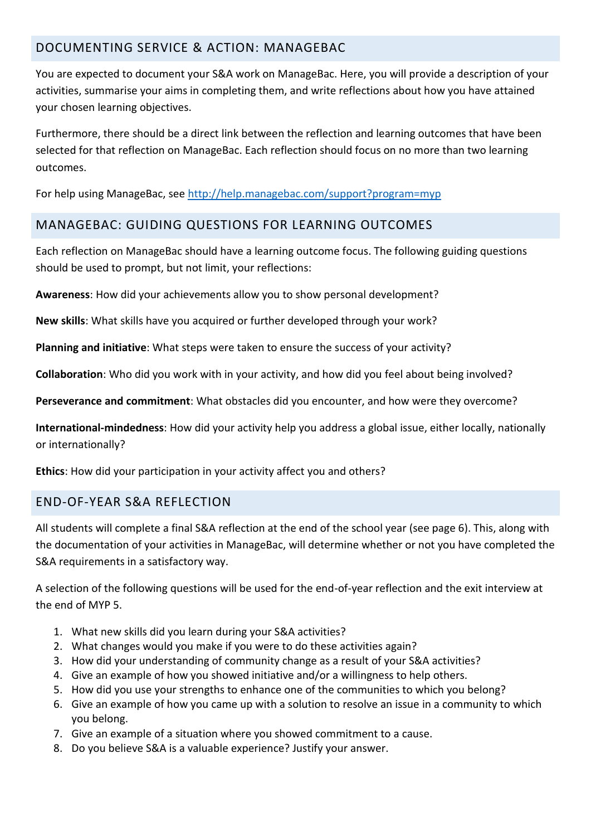# DOCUMENTING SERVICE & ACTION: MANAGEBAC

You are expected to document your S&A work on ManageBac. Here, you will provide a description of your activities, summarise your aims in completing them, and write reflections about how you have attained your chosen learning objectives.

Furthermore, there should be a direct link between the reflection and learning outcomes that have been selected for that reflection on ManageBac. Each reflection should focus on no more than two learning outcomes.

For help using ManageBac, see<http://help.managebac.com/support?program=myp>

# MANAGEBAC: GUIDING QUESTIONS FOR LEARNING OUTCOMES

Each reflection on ManageBac should have a learning outcome focus. The following guiding questions should be used to prompt, but not limit, your reflections:

**Awareness**: How did your achievements allow you to show personal development?

**New skills**: What skills have you acquired or further developed through your work?

**Planning and initiative**: What steps were taken to ensure the success of your activity?

**Collaboration**: Who did you work with in your activity, and how did you feel about being involved?

**Perseverance and commitment**: What obstacles did you encounter, and how were they overcome?

**International-mindedness**: How did your activity help you address a global issue, either locally, nationally or internationally?

**Ethics**: How did your participation in your activity affect you and others?

# END-OF-YEAR S&A REFLECTION

All students will complete a final S&A reflection at the end of the school year (see page 6). This, along with the documentation of your activities in ManageBac, will determine whether or not you have completed the S&A requirements in a satisfactory way.

A selection of the following questions will be used for the end-of-year reflection and the exit interview at the end of MYP 5.

- 1. What new skills did you learn during your S&A activities?
- 2. What changes would you make if you were to do these activities again?
- 3. How did your understanding of community change as a result of your S&A activities?
- 4. Give an example of how you showed initiative and/or a willingness to help others.
- 5. How did you use your strengths to enhance one of the communities to which you belong?
- 6. Give an example of how you came up with a solution to resolve an issue in a community to which you belong.
- 7. Give an example of a situation where you showed commitment to a cause.
- 8. Do you believe S&A is a valuable experience? Justify your answer.